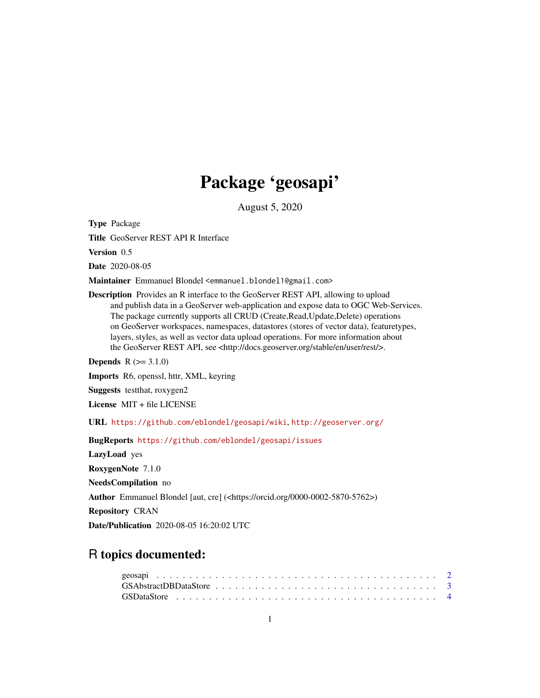# Package 'geosapi'

August 5, 2020

<span id="page-0-0"></span>Type Package

Title GeoServer REST API R Interface

Version 0.5

Date 2020-08-05

Maintainer Emmanuel Blondel <emmanuel.blondel1@gmail.com>

Description Provides an R interface to the GeoServer REST API, allowing to upload and publish data in a GeoServer web-application and expose data to OGC Web-Services. The package currently supports all CRUD (Create,Read,Update,Delete) operations on GeoServer workspaces, namespaces, datastores (stores of vector data), featuretypes, layers, styles, as well as vector data upload operations. For more information about the GeoServer REST API, see <http://docs.geoserver.org/stable/en/user/rest/>.

**Depends**  $R (= 3.1.0)$ 

Imports R6, openssl, httr, XML, keyring

Suggests testthat, roxygen2

License MIT + file LICENSE

URL <https://github.com/eblondel/geosapi/wiki>, <http://geoserver.org/>

BugReports <https://github.com/eblondel/geosapi/issues>

LazyLoad yes

RoxygenNote 7.1.0

NeedsCompilation no

Author Emmanuel Blondel [aut, cre] (<https://orcid.org/0000-0002-5870-5762>)

Repository CRAN

Date/Publication 2020-08-05 16:20:02 UTC

# R topics documented: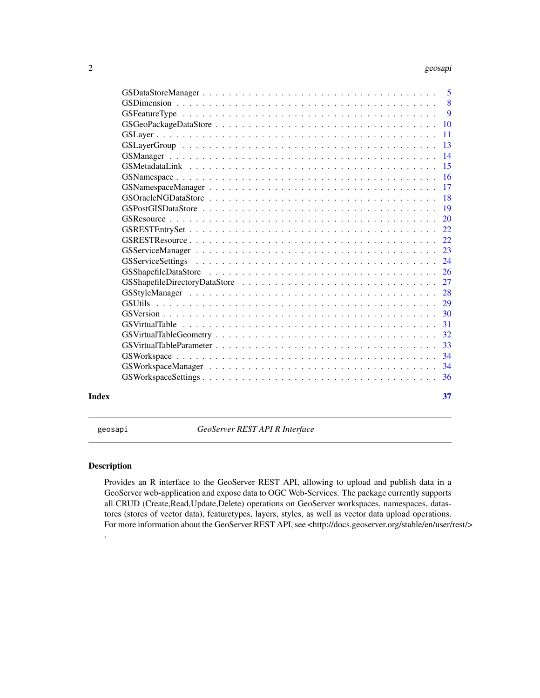#### <span id="page-1-0"></span>2 geosapi

|       | $\overline{5}$            |
|-------|---------------------------|
|       | $\overline{\phantom{0}}8$ |
|       | 9                         |
|       | <b>10</b>                 |
|       | 11                        |
|       | 13                        |
|       | 14                        |
|       | 15                        |
|       | 16                        |
|       | 17                        |
|       | 18                        |
|       | 19                        |
|       | 20                        |
|       | 22                        |
|       | 22                        |
|       | 23                        |
|       | 24                        |
|       | 26                        |
|       | 27                        |
|       | 28                        |
|       | 29                        |
|       | 30                        |
|       | 31                        |
|       | 32                        |
|       | 33                        |
|       | 34                        |
|       | 34                        |
|       | 36                        |
|       |                           |
| Index | 37                        |

geosapi *GeoServer REST API R Interface*

# Description

.

Provides an R interface to the GeoServer REST API, allowing to upload and publish data in a GeoServer web-application and expose data to OGC Web-Services. The package currently supports all CRUD (Create,Read,Update,Delete) operations on GeoServer workspaces, namespaces, datastores (stores of vector data), featuretypes, layers, styles, as well as vector data upload operations. For more information about the GeoServer REST API, see <http://docs.geoserver.org/stable/en/user/rest/>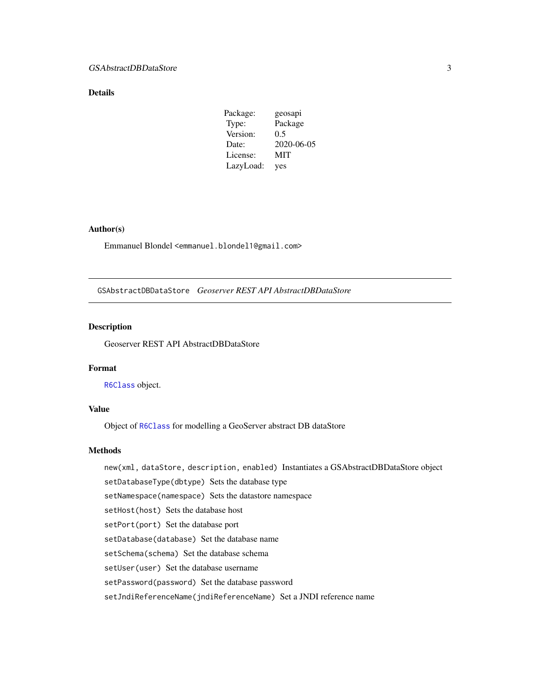# <span id="page-2-0"></span>Details

| Package:  | geosapi    |
|-----------|------------|
| Type:     | Package    |
| Version:  | 0.5        |
| Date:     | 2020-06-05 |
| License:  | MIT        |
| LazyLoad: | yes        |

# Author(s)

Emmanuel Blondel <emmanuel.blondel1@gmail.com>

GSAbstractDBDataStore *Geoserver REST API AbstractDBDataStore*

# Description

Geoserver REST API AbstractDBDataStore

#### Format

[R6Class](#page-0-0) object.

#### Value

Object of [R6Class](#page-0-0) for modelling a GeoServer abstract DB dataStore

# Methods

new(xml, dataStore, description, enabled) Instantiates a GSAbstractDBDataStore object setDatabaseType(dbtype) Sets the database type setNamespace(namespace) Sets the datastore namespace setHost(host) Sets the database host setPort(port) Set the database port setDatabase(database) Set the database name setSchema(schema) Set the database schema setUser(user) Set the database username setPassword(password) Set the database password setJndiReferenceName(jndiReferenceName) Set a JNDI reference name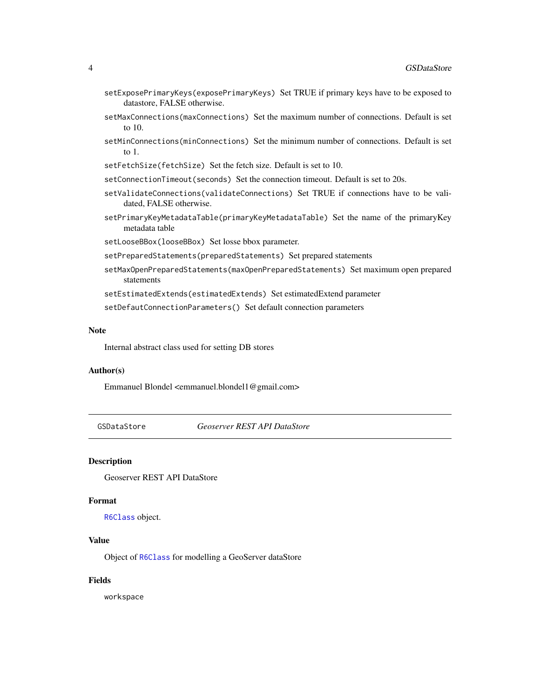- <span id="page-3-0"></span>setExposePrimaryKeys(exposePrimaryKeys) Set TRUE if primary keys have to be exposed to datastore, FALSE otherwise.
- setMaxConnections(maxConnections) Set the maximum number of connections. Default is set to 10.
- setMinConnections(minConnections) Set the minimum number of connections. Default is set to 1.
- setFetchSize(fetchSize) Set the fetch size. Default is set to 10.
- setConnectionTimeout(seconds) Set the connection timeout. Default is set to 20s.
- setValidateConnections(validateConnections) Set TRUE if connections have to be validated, FALSE otherwise.
- setPrimaryKeyMetadataTable(primaryKeyMetadataTable) Set the name of the primaryKey metadata table
- setLooseBBox(looseBBox) Set losse bbox parameter.
- setPreparedStatements(preparedStatements) Set prepared statements
- setMaxOpenPreparedStatements(maxOpenPreparedStatements) Set maximum open prepared statements

setEstimatedExtends(estimatedExtends) Set estimatedExtend parameter

setDefautConnectionParameters() Set default connection parameters

#### Note

Internal abstract class used for setting DB stores

# Author(s)

Emmanuel Blondel <emmanuel.blondel1@gmail.com>

<span id="page-3-1"></span>GSDataStore *Geoserver REST API DataStore*

# **Description**

Geoserver REST API DataStore

## Format

[R6Class](#page-0-0) object.

# Value

Object of [R6Class](#page-0-0) for modelling a GeoServer dataStore

#### Fields

workspace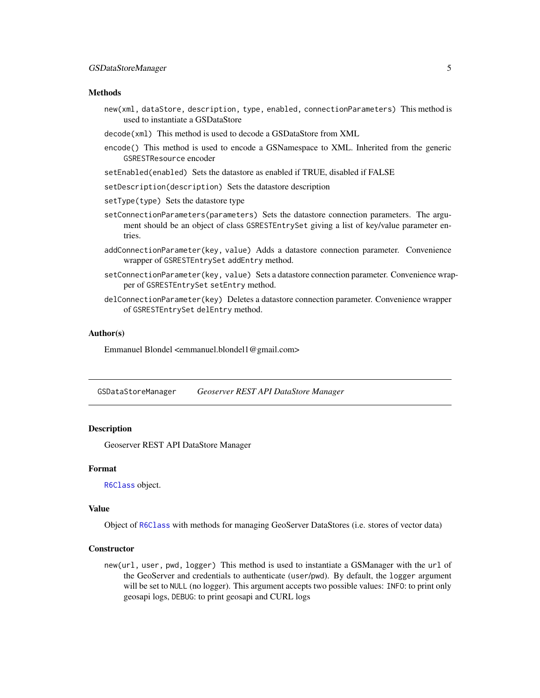#### <span id="page-4-0"></span>Methods

- new(xml, dataStore, description, type, enabled, connectionParameters) This method is used to instantiate a GSDataStore
- decode(xml) This method is used to decode a GSDataStore from XML
- encode() This method is used to encode a GSNamespace to XML. Inherited from the generic GSRESTResource encoder
- setEnabled(enabled) Sets the datastore as enabled if TRUE, disabled if FALSE
- setDescription(description) Sets the datastore description
- setType(type) Sets the datastore type
- setConnectionParameters(parameters) Sets the datastore connection parameters. The argument should be an object of class GSRESTEntrySet giving a list of key/value parameter entries.
- addConnectionParameter(key, value) Adds a datastore connection parameter. Convenience wrapper of GSRESTEntrySet addEntry method.
- setConnectionParameter(key, value) Sets a datastore connection parameter. Convenience wrapper of GSRESTEntrySet setEntry method.
- delConnectionParameter(key) Deletes a datastore connection parameter. Convenience wrapper of GSRESTEntrySet delEntry method.

# Author(s)

Emmanuel Blondel <emmanuel.blondel1@gmail.com>

GSDataStoreManager *Geoserver REST API DataStore Manager*

# Description

Geoserver REST API DataStore Manager

#### Format

[R6Class](#page-0-0) object.

# Value

Object of [R6Class](#page-0-0) with methods for managing GeoServer DataStores (i.e. stores of vector data)

#### **Constructor**

new(url, user, pwd, logger) This method is used to instantiate a GSManager with the url of the GeoServer and credentials to authenticate (user/pwd). By default, the logger argument will be set to NULL (no logger). This argument accepts two possible values: INFO: to print only geosapi logs, DEBUG: to print geosapi and CURL logs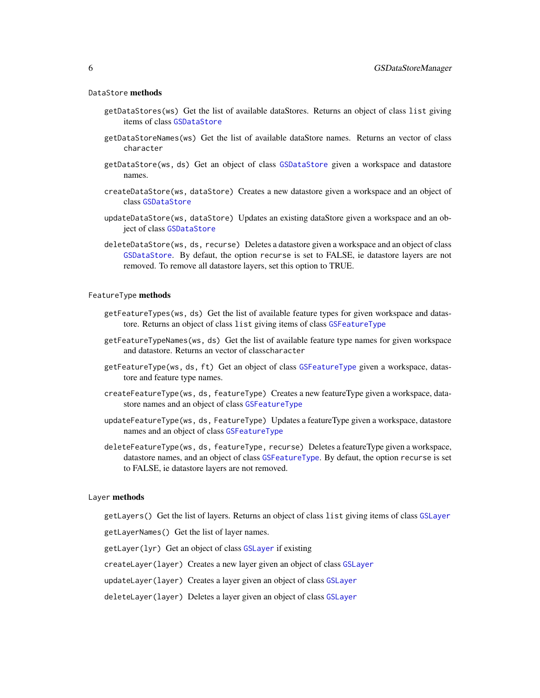#### <span id="page-5-0"></span>DataStore methods

- getDataStores(ws) Get the list of available dataStores. Returns an object of class list giving items of class [GSDataStore](#page-3-1)
- getDataStoreNames(ws) Get the list of available dataStore names. Returns an vector of class character
- getDataStore(ws, ds) Get an object of class [GSDataStore](#page-3-1) given a workspace and datastore names.
- createDataStore(ws, dataStore) Creates a new datastore given a workspace and an object of class [GSDataStore](#page-3-1)
- updateDataStore(ws, dataStore) Updates an existing dataStore given a workspace and an object of class [GSDataStore](#page-3-1)
- deleteDataStore(ws, ds, recurse) Deletes a datastore given a workspace and an object of class [GSDataStore](#page-3-1). By defaut, the option recurse is set to FALSE, ie datastore layers are not removed. To remove all datastore layers, set this option to TRUE.

#### FeatureType methods

- getFeatureTypes(ws, ds) Get the list of available feature types for given workspace and datastore. Returns an object of class list giving items of class [GSFeatureType](#page-8-1)
- getFeatureTypeNames(ws, ds) Get the list of available feature type names for given workspace and datastore. Returns an vector of classcharacter
- getFeatureType(ws, ds, ft) Get an object of class [GSFeatureType](#page-8-1) given a workspace, datastore and feature type names.
- createFeatureType(ws, ds, featureType) Creates a new featureType given a workspace, datastore names and an object of class [GSFeatureType](#page-8-1)
- updateFeatureType(ws, ds, FeatureType) Updates a featureType given a workspace, datastore names and an object of class [GSFeatureType](#page-8-1)
- deleteFeatureType(ws, ds, featureType, recurse) Deletes a featureType given a workspace, datastore names, and an object of class [GSFeatureType](#page-8-1). By defaut, the option recurse is set to FALSE, ie datastore layers are not removed.

#### Layer methods

getLayers() Get the list of layers. Returns an object of class list giving items of class [GSLayer](#page-10-1)

getLayerNames() Get the list of layer names.

getLayer(lyr) Get an object of class [GSLayer](#page-10-1) if existing

createLayer(layer) Creates a new layer given an object of class [GSLayer](#page-10-1)

updateLayer(layer) Creates a layer given an object of class [GSLayer](#page-10-1)

deleteLayer(layer) Deletes a layer given an object of class [GSLayer](#page-10-1)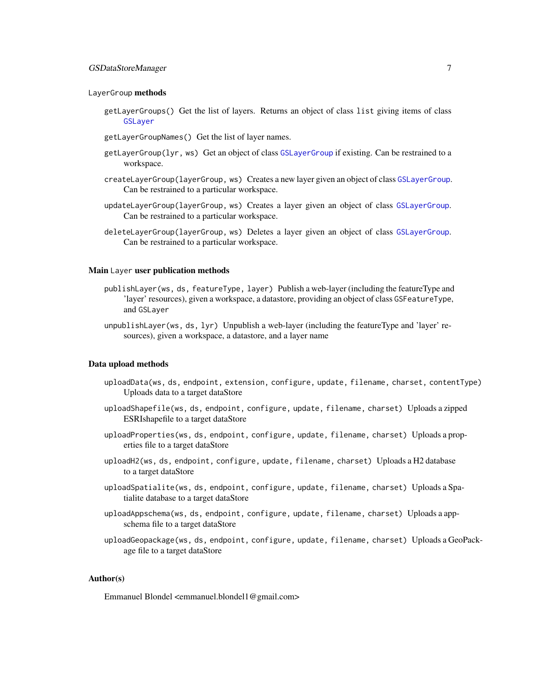# <span id="page-6-0"></span>GSDataStoreManager 7

#### LayerGroup methods

- getLayerGroups() Get the list of layers. Returns an object of class list giving items of class [GSLayer](#page-10-1)
- getLayerGroupNames() Get the list of layer names.
- getLayerGroup(lyr, ws) Get an object of class [GSLayerGroup](#page-12-1) if existing. Can be restrained to a workspace.
- createLayerGroup(layerGroup, ws) Creates a new layer given an object of class [GSLayerGroup](#page-12-1). Can be restrained to a particular workspace.
- updateLayerGroup(layerGroup, ws) Creates a layer given an object of class [GSLayerGroup](#page-12-1). Can be restrained to a particular workspace.
- deleteLayerGroup(layerGroup, ws) Deletes a layer given an object of class [GSLayerGroup](#page-12-1). Can be restrained to a particular workspace.

#### Main Layer user publication methods

- publishLayer(ws, ds, featureType, layer) Publish a web-layer (including the featureType and 'layer' resources), given a workspace, a datastore, providing an object of class GSFeatureType, and GSLayer
- unpublishLayer(ws, ds, lyr) Unpublish a web-layer (including the featureType and 'layer' resources), given a workspace, a datastore, and a layer name

#### Data upload methods

- uploadData(ws, ds, endpoint, extension, configure, update, filename, charset, contentType) Uploads data to a target dataStore
- uploadShapefile(ws, ds, endpoint, configure, update, filename, charset) Uploads a zipped ESRIshapefile to a target dataStore
- uploadProperties(ws, ds, endpoint, configure, update, filename, charset) Uploads a properties file to a target dataStore
- uploadH2(ws, ds, endpoint, configure, update, filename, charset) Uploads a H2 database to a target dataStore
- uploadSpatialite(ws, ds, endpoint, configure, update, filename, charset) Uploads a Spatialite database to a target dataStore
- uploadAppschema(ws, ds, endpoint, configure, update, filename, charset) Uploads a appschema file to a target dataStore
- uploadGeopackage(ws, ds, endpoint, configure, update, filename, charset) Uploads a GeoPackage file to a target dataStore

#### Author(s)

Emmanuel Blondel <emmanuel.blondel1@gmail.com>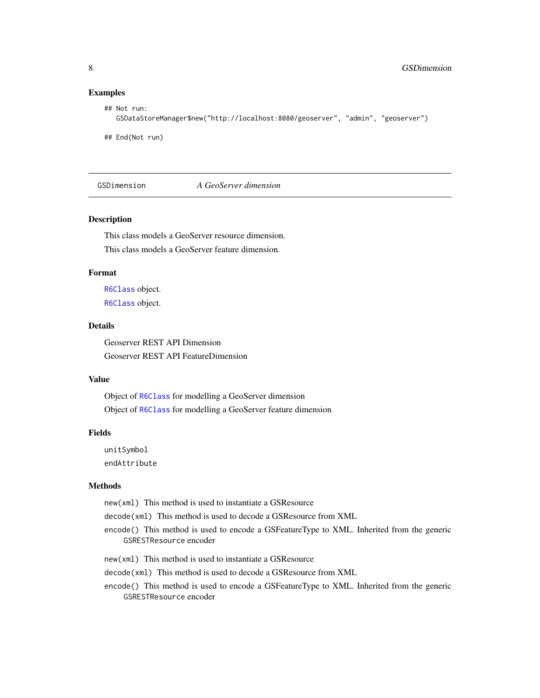#### <span id="page-7-0"></span>Examples

```
## Not run:
  GSDataStoreManager$new("http://localhost:8080/geoserver", "admin", "geoserver")
```
## End(Not run)

GSDimension *A GeoServer dimension*

# Description

This class models a GeoServer resource dimension. This class models a GeoServer feature dimension.

# Format

[R6Class](#page-0-0) object. [R6Class](#page-0-0) object.

# Details

Geoserver REST API Dimension Geoserver REST API FeatureDimension

#### Value

Object of [R6Class](#page-0-0) for modelling a GeoServer dimension Object of [R6Class](#page-0-0) for modelling a GeoServer feature dimension

#### Fields

unitSymbol endAttribute

#### Methods

new(xml) This method is used to instantiate a GSResource

decode(xml) This method is used to decode a GSResource from XML

encode() This method is used to encode a GSFeatureType to XML. Inherited from the generic GSRESTResource encoder

new(xml) This method is used to instantiate a GSResource

decode(xml) This method is used to decode a GSResource from XML

encode() This method is used to encode a GSFeatureType to XML. Inherited from the generic GSRESTResource encoder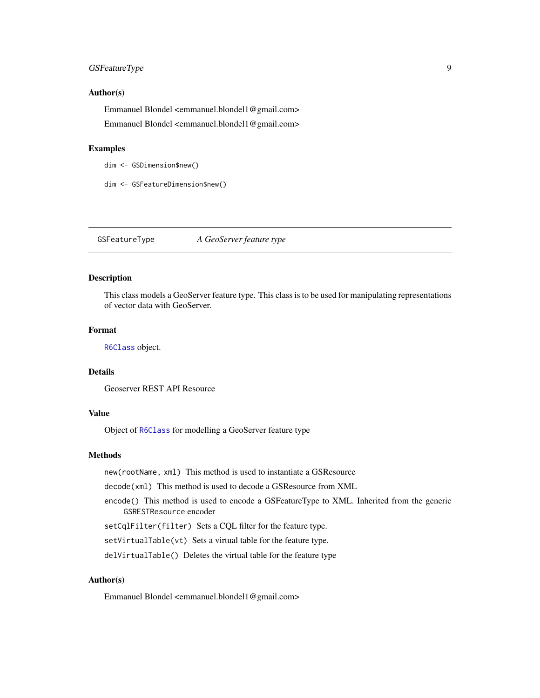# <span id="page-8-0"></span>GSFeatureType 9

#### Author(s)

Emmanuel Blondel <emmanuel.blondel1@gmail.com> Emmanuel Blondel <emmanuel.blondel1@gmail.com>

#### Examples

dim <- GSDimension\$new()

dim <- GSFeatureDimension\$new()

<span id="page-8-1"></span>GSFeatureType *A GeoServer feature type*

#### Description

This class models a GeoServer feature type. This class is to be used for manipulating representations of vector data with GeoServer.

#### Format

[R6Class](#page-0-0) object.

#### Details

Geoserver REST API Resource

# Value

Object of [R6Class](#page-0-0) for modelling a GeoServer feature type

# Methods

new(rootName, xml) This method is used to instantiate a GSResource

decode(xml) This method is used to decode a GSResource from XML

encode() This method is used to encode a GSFeatureType to XML. Inherited from the generic GSRESTResource encoder

setCqlFilter(filter) Sets a CQL filter for the feature type.

setVirtualTable(vt) Sets a virtual table for the feature type.

delVirtualTable() Deletes the virtual table for the feature type

# Author(s)

Emmanuel Blondel <emmanuel.blondel1@gmail.com>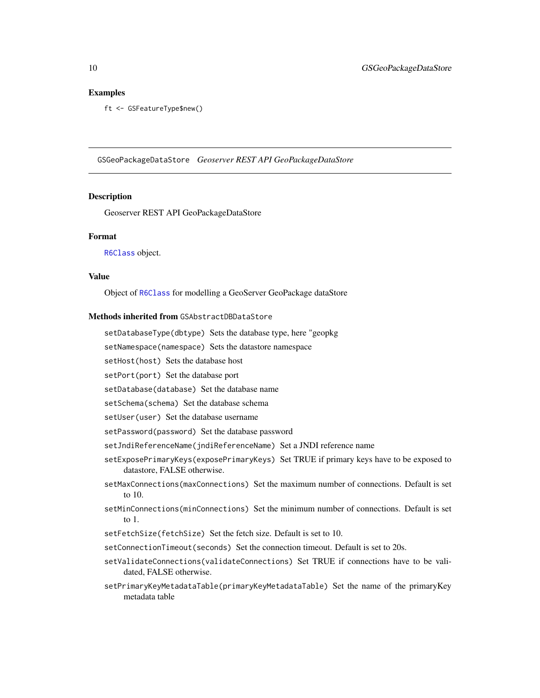#### <span id="page-9-0"></span>Examples

ft <- GSFeatureType\$new()

GSGeoPackageDataStore *Geoserver REST API GeoPackageDataStore*

#### Description

Geoserver REST API GeoPackageDataStore

#### Format

[R6Class](#page-0-0) object.

#### Value

Object of [R6Class](#page-0-0) for modelling a GeoServer GeoPackage dataStore

#### Methods inherited from GSAbstractDBDataStore

setDatabaseType(dbtype) Sets the database type, here "geopkg

setNamespace(namespace) Sets the datastore namespace

setHost(host) Sets the database host

setPort(port) Set the database port

setDatabase(database) Set the database name

setSchema(schema) Set the database schema

setUser(user) Set the database username

setPassword(password) Set the database password

setJndiReferenceName(jndiReferenceName) Set a JNDI reference name

- setExposePrimaryKeys(exposePrimaryKeys) Set TRUE if primary keys have to be exposed to datastore, FALSE otherwise.
- setMaxConnections(maxConnections) Set the maximum number of connections. Default is set to 10.
- setMinConnections(minConnections) Set the minimum number of connections. Default is set to 1.
- setFetchSize(fetchSize) Set the fetch size. Default is set to 10.
- setConnectionTimeout(seconds) Set the connection timeout. Default is set to 20s.
- setValidateConnections(validateConnections) Set TRUE if connections have to be validated, FALSE otherwise.
- setPrimaryKeyMetadataTable(primaryKeyMetadataTable) Set the name of the primaryKey metadata table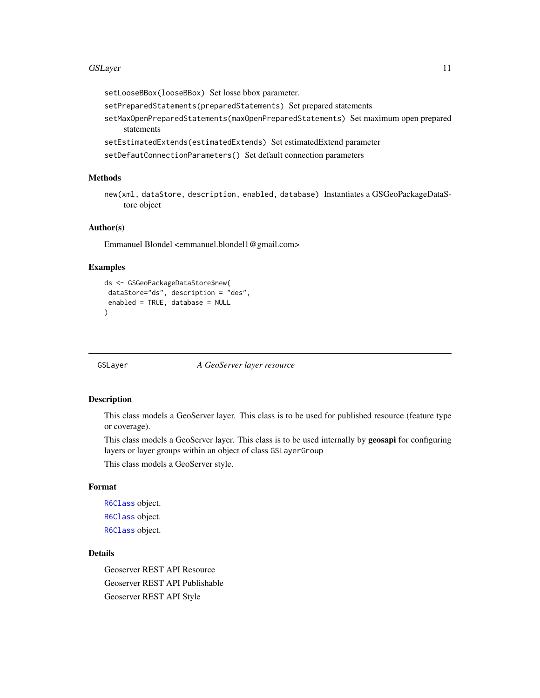#### <span id="page-10-0"></span>GSLayer 11

setLooseBBox(looseBBox) Set losse bbox parameter.

setPreparedStatements(preparedStatements) Set prepared statements

setMaxOpenPreparedStatements(maxOpenPreparedStatements) Set maximum open prepared statements

setEstimatedExtends(estimatedExtends) Set estimatedExtend parameter

setDefautConnectionParameters() Set default connection parameters

#### Methods

new(xml, dataStore, description, enabled, database) Instantiates a GSGeoPackageDataStore object

## Author(s)

Emmanuel Blondel <emmanuel.blondel1@gmail.com>

#### Examples

```
ds <- GSGeoPackageDataStore$new(
 dataStore="ds", description = "des",
 enabled = TRUE, database = NULL
)
```
<span id="page-10-1"></span>GSLayer *A GeoServer layer resource*

#### <span id="page-10-2"></span>Description

This class models a GeoServer layer. This class is to be used for published resource (feature type or coverage).

This class models a GeoServer layer. This class is to be used internally by **geosapi** for configuring layers or layer groups within an object of class GSLayerGroup

This class models a GeoServer style.

# Format

[R6Class](#page-0-0) object. [R6Class](#page-0-0) object. [R6Class](#page-0-0) object.

# **Details**

Geoserver REST API Resource Geoserver REST API Publishable Geoserver REST API Style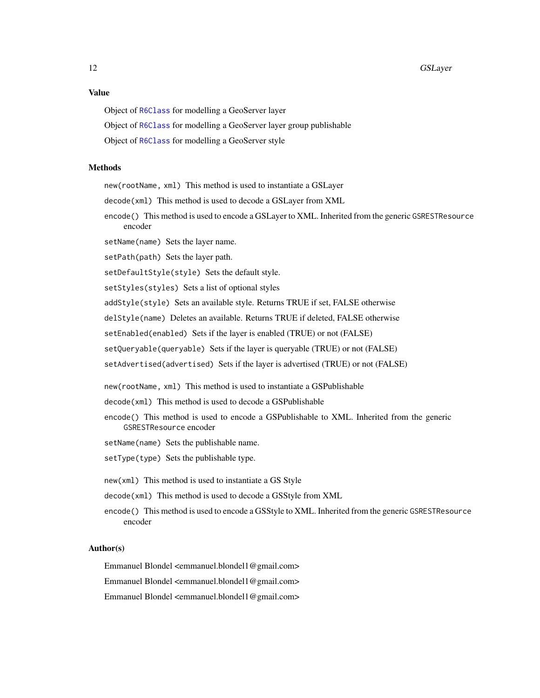# Value

Object of [R6Class](#page-0-0) for modelling a GeoServer layer

Object of [R6Class](#page-0-0) for modelling a GeoServer layer group publishable

Object of [R6Class](#page-0-0) for modelling a GeoServer style

#### Methods

new(rootName, xml) This method is used to instantiate a GSLayer

decode(xml) This method is used to decode a GSLayer from XML

encode() This method is used to encode a GSLayer to XML. Inherited from the generic GSRESTResource encoder

setName(name) Sets the layer name.

setPath(path) Sets the layer path.

setDefaultStyle(style) Sets the default style.

setStyles(styles) Sets a list of optional styles

addStyle(style) Sets an available style. Returns TRUE if set, FALSE otherwise

delStyle(name) Deletes an available. Returns TRUE if deleted, FALSE otherwise

setEnabled(enabled) Sets if the layer is enabled (TRUE) or not (FALSE)

setQueryable(queryable) Sets if the layer is queryable (TRUE) or not (FALSE)

setAdvertised(advertised) Sets if the layer is advertised (TRUE) or not (FALSE)

new(rootName, xml) This method is used to instantiate a GSPublishable

decode(xml) This method is used to decode a GSPublishable

encode() This method is used to encode a GSPublishable to XML. Inherited from the generic GSRESTResource encoder

setName(name) Sets the publishable name.

setType(type) Sets the publishable type.

new(xml) This method is used to instantiate a GS Style

decode(xml) This method is used to decode a GSStyle from XML

encode() This method is used to encode a GSStyle to XML. Inherited from the generic GSRESTResource encoder

#### Author(s)

Emmanuel Blondel <emmanuel.blondel1@gmail.com>

Emmanuel Blondel <emmanuel.blondel1@gmail.com>

Emmanuel Blondel <emmanuel.blondel1@gmail.com>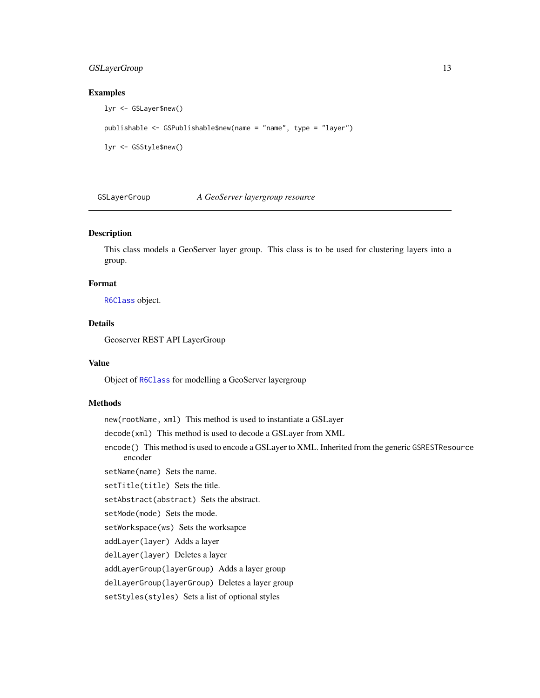# <span id="page-12-0"></span>GSLayerGroup 13

# Examples

```
lyr <- GSLayer$new()
publishable <- GSPublishable$new(name = "name", type = "layer")
lyr <- GSStyle$new()
```
<span id="page-12-1"></span>GSLayerGroup *A GeoServer layergroup resource*

# Description

This class models a GeoServer layer group. This class is to be used for clustering layers into a group.

#### Format

[R6Class](#page-0-0) object.

#### Details

Geoserver REST API LayerGroup

# Value

Object of [R6Class](#page-0-0) for modelling a GeoServer layergroup

# Methods

new(rootName, xml) This method is used to instantiate a GSLayer

decode(xml) This method is used to decode a GSLayer from XML

encode() This method is used to encode a GSLayer to XML. Inherited from the generic GSRESTResource encoder

setName(name) Sets the name.

# setTitle(title) Sets the title.

setAbstract(abstract) Sets the abstract.

setMode(mode) Sets the mode.

setWorkspace(ws) Sets the worksapce

addLayer(layer) Adds a layer

delLayer(layer) Deletes a layer

addLayerGroup(layerGroup) Adds a layer group

delLayerGroup(layerGroup) Deletes a layer group

setStyles(styles) Sets a list of optional styles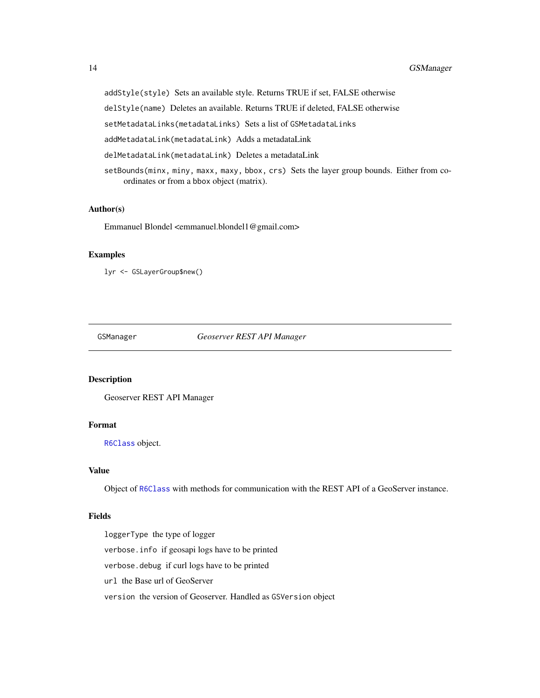addStyle(style) Sets an available style. Returns TRUE if set, FALSE otherwise

delStyle(name) Deletes an available. Returns TRUE if deleted, FALSE otherwise

setMetadataLinks(metadataLinks) Sets a list of GSMetadataLinks

addMetadataLink(metadataLink) Adds a metadataLink

delMetadataLink(metadataLink) Deletes a metadataLink

setBounds(minx, miny, maxx, maxy, bbox, crs) Sets the layer group bounds. Either from coordinates or from a bbox object (matrix).

# Author(s)

Emmanuel Blondel <emmanuel.blondel1@gmail.com>

# Examples

lyr <- GSLayerGroup\$new()

GSManager *Geoserver REST API Manager*

# Description

Geoserver REST API Manager

# Format

[R6Class](#page-0-0) object.

# Value

Object of [R6Class](#page-0-0) with methods for communication with the REST API of a GeoServer instance.

#### Fields

loggerType the type of logger verbose.info if geosapi logs have to be printed verbose.debug if curl logs have to be printed url the Base url of GeoServer version the version of Geoserver. Handled as GSVersion object

<span id="page-13-0"></span>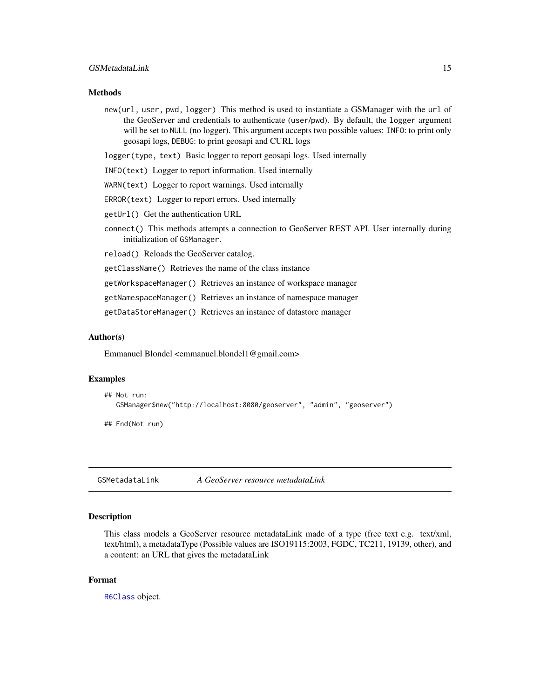## <span id="page-14-0"></span>**Methods**

new(url, user, pwd, logger) This method is used to instantiate a GSManager with the url of the GeoServer and credentials to authenticate (user/pwd). By default, the logger argument will be set to NULL (no logger). This argument accepts two possible values: INFO: to print only geosapi logs, DEBUG: to print geosapi and CURL logs

logger(type, text) Basic logger to report geosapi logs. Used internally

- INFO(text) Logger to report information. Used internally
- WARN(text) Logger to report warnings. Used internally
- ERROR(text) Logger to report errors. Used internally
- getUrl() Get the authentication URL
- connect() This methods attempts a connection to GeoServer REST API. User internally during initialization of GSManager.
- reload() Reloads the GeoServer catalog.

getClassName() Retrieves the name of the class instance

getWorkspaceManager() Retrieves an instance of workspace manager

getNamespaceManager() Retrieves an instance of namespace manager

getDataStoreManager() Retrieves an instance of datastore manager

#### Author(s)

Emmanuel Blondel <emmanuel.blondel1@gmail.com>

#### Examples

```
## Not run:
  GSManager$new("http://localhost:8080/geoserver", "admin", "geoserver")
```
## End(Not run)

GSMetadataLink *A GeoServer resource metadataLink*

#### **Description**

This class models a GeoServer resource metadataLink made of a type (free text e.g. text/xml, text/html), a metadataType (Possible values are ISO19115:2003, FGDC, TC211, 19139, other), and a content: an URL that gives the metadataLink

#### Format

[R6Class](#page-0-0) object.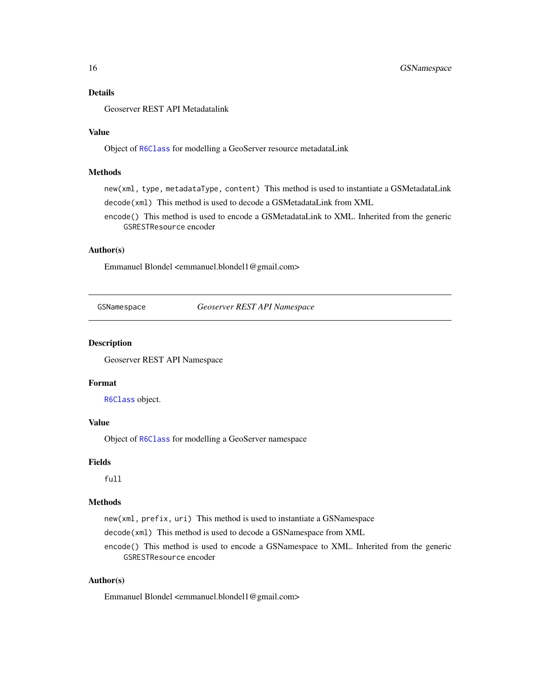# <span id="page-15-0"></span>Details

Geoserver REST API Metadatalink

#### Value

Object of [R6Class](#page-0-0) for modelling a GeoServer resource metadataLink

### Methods

new(xml, type, metadataType, content) This method is used to instantiate a GSMetadataLink decode(xml) This method is used to decode a GSMetadataLink from XML

encode() This method is used to encode a GSMetadataLink to XML. Inherited from the generic GSRESTResource encoder

# Author(s)

Emmanuel Blondel <emmanuel.blondel1@gmail.com>

<span id="page-15-1"></span>GSNamespace *Geoserver REST API Namespace*

# Description

Geoserver REST API Namespace

# Format

[R6Class](#page-0-0) object.

# Value

Object of [R6Class](#page-0-0) for modelling a GeoServer namespace

#### Fields

full

#### Methods

new(xml, prefix, uri) This method is used to instantiate a GSNamespace

decode(xml) This method is used to decode a GSNamespace from XML

encode() This method is used to encode a GSNamespace to XML. Inherited from the generic GSRESTResource encoder

# Author(s)

Emmanuel Blondel <emmanuel.blondel1@gmail.com>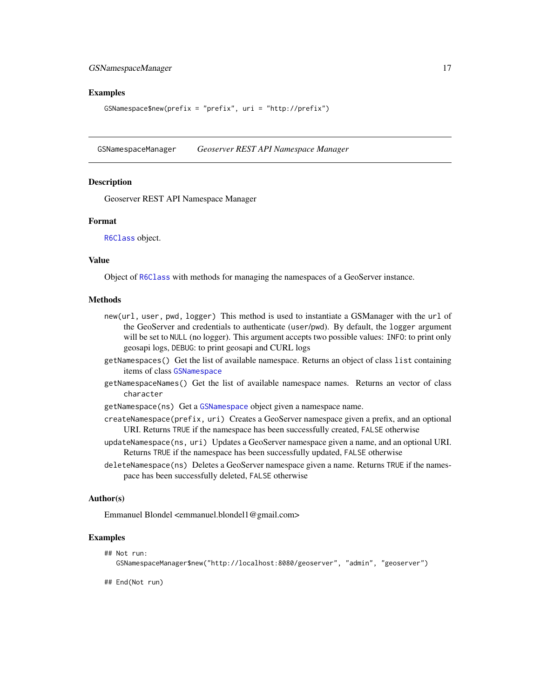# <span id="page-16-0"></span>GSNamespaceManager 17

#### Examples

GSNamespace\$new(prefix = "prefix", uri = "http://prefix")

<span id="page-16-1"></span>GSNamespaceManager *Geoserver REST API Namespace Manager*

#### **Description**

Geoserver REST API Namespace Manager

#### Format

[R6Class](#page-0-0) object.

#### Value

Object of [R6Class](#page-0-0) with methods for managing the namespaces of a GeoServer instance.

#### Methods

- new(url, user, pwd, logger) This method is used to instantiate a GSManager with the url of the GeoServer and credentials to authenticate (user/pwd). By default, the logger argument will be set to NULL (no logger). This argument accepts two possible values: INFO: to print only geosapi logs, DEBUG: to print geosapi and CURL logs
- getNamespaces() Get the list of available namespace. Returns an object of class list containing items of class [GSNamespace](#page-15-1)
- getNamespaceNames() Get the list of available namespace names. Returns an vector of class character
- getNamespace(ns) Get a [GSNamespace](#page-15-1) object given a namespace name.
- createNamespace(prefix, uri) Creates a GeoServer namespace given a prefix, and an optional URI. Returns TRUE if the namespace has been successfully created, FALSE otherwise
- updateNamespace(ns, uri) Updates a GeoServer namespace given a name, and an optional URI. Returns TRUE if the namespace has been successfully updated, FALSE otherwise
- deleteNamespace(ns) Deletes a GeoServer namespace given a name. Returns TRUE if the namespace has been successfully deleted, FALSE otherwise

#### Author(s)

Emmanuel Blondel <emmanuel.blondel1@gmail.com>

#### Examples

## Not run: GSNamespaceManager\$new("http://localhost:8080/geoserver", "admin", "geoserver")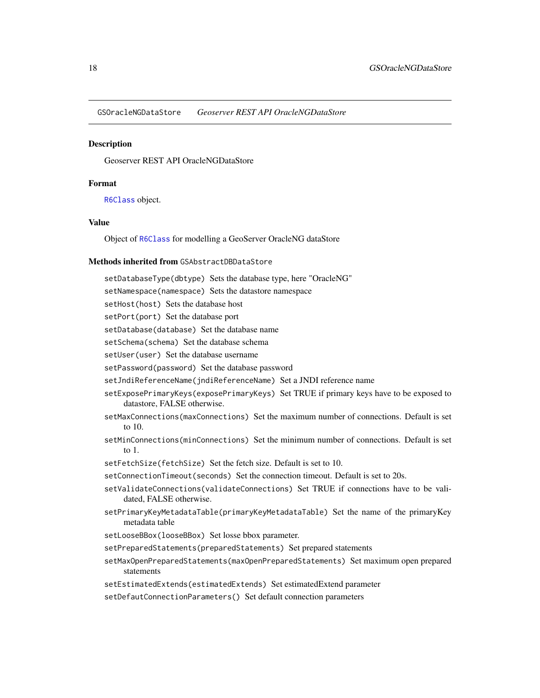<span id="page-17-0"></span>GSOracleNGDataStore *Geoserver REST API OracleNGDataStore*

#### **Description**

Geoserver REST API OracleNGDataStore

# Format

[R6Class](#page-0-0) object.

## Value

Object of [R6Class](#page-0-0) for modelling a GeoServer OracleNG dataStore

# Methods inherited from GSAbstractDBDataStore

setDatabaseType(dbtype) Sets the database type, here "OracleNG"

setNamespace(namespace) Sets the datastore namespace

setHost(host) Sets the database host

setPort(port) Set the database port

setDatabase(database) Set the database name

setSchema(schema) Set the database schema

setUser(user) Set the database username

setPassword(password) Set the database password

setJndiReferenceName(jndiReferenceName) Set a JNDI reference name

- setExposePrimaryKeys(exposePrimaryKeys) Set TRUE if primary keys have to be exposed to datastore, FALSE otherwise.
- setMaxConnections(maxConnections) Set the maximum number of connections. Default is set to 10.
- setMinConnections(minConnections) Set the minimum number of connections. Default is set to 1.
- setFetchSize(fetchSize) Set the fetch size. Default is set to 10.

setConnectionTimeout(seconds) Set the connection timeout. Default is set to 20s.

- setValidateConnections(validateConnections) Set TRUE if connections have to be validated, FALSE otherwise.
- setPrimaryKeyMetadataTable(primaryKeyMetadataTable) Set the name of the primaryKey metadata table
- setLooseBBox(looseBBox) Set losse bbox parameter.
- setPreparedStatements(preparedStatements) Set prepared statements
- setMaxOpenPreparedStatements(maxOpenPreparedStatements) Set maximum open prepared statements
- setEstimatedExtends(estimatedExtends) Set estimatedExtend parameter
- setDefautConnectionParameters() Set default connection parameters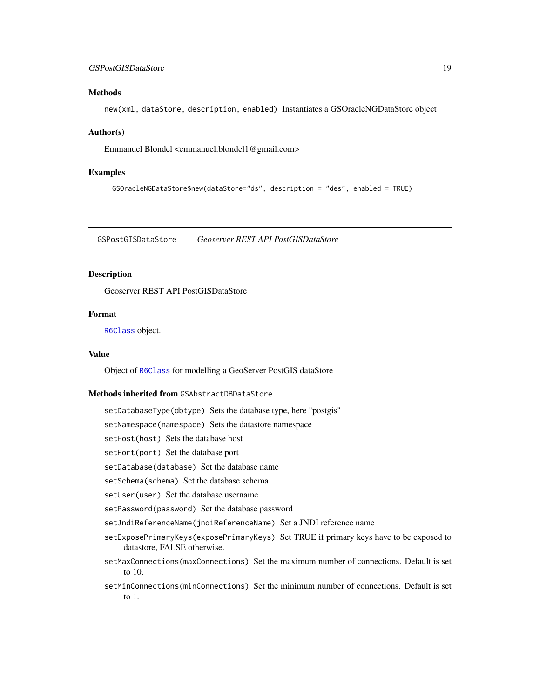# <span id="page-18-0"></span>GSPostGISDataStore 19

# Methods

new(xml, dataStore, description, enabled) Instantiates a GSOracleNGDataStore object

#### Author(s)

Emmanuel Blondel <emmanuel.blondel1@gmail.com>

#### Examples

```
GSOracleNGDataStore$new(dataStore="ds", description = "des", enabled = TRUE)
```
GSPostGISDataStore *Geoserver REST API PostGISDataStore*

#### **Description**

Geoserver REST API PostGISDataStore

# Format

[R6Class](#page-0-0) object.

# Value

Object of [R6Class](#page-0-0) for modelling a GeoServer PostGIS dataStore

#### Methods inherited from GSAbstractDBDataStore

setDatabaseType(dbtype) Sets the database type, here "postgis"

setNamespace(namespace) Sets the datastore namespace

setHost(host) Sets the database host

setPort(port) Set the database port

setDatabase(database) Set the database name

setSchema(schema) Set the database schema

setUser(user) Set the database username

setPassword(password) Set the database password

setJndiReferenceName(jndiReferenceName) Set a JNDI reference name

- setExposePrimaryKeys(exposePrimaryKeys) Set TRUE if primary keys have to be exposed to datastore, FALSE otherwise.
- setMaxConnections(maxConnections) Set the maximum number of connections. Default is set to 10.
- setMinConnections(minConnections) Set the minimum number of connections. Default is set to 1.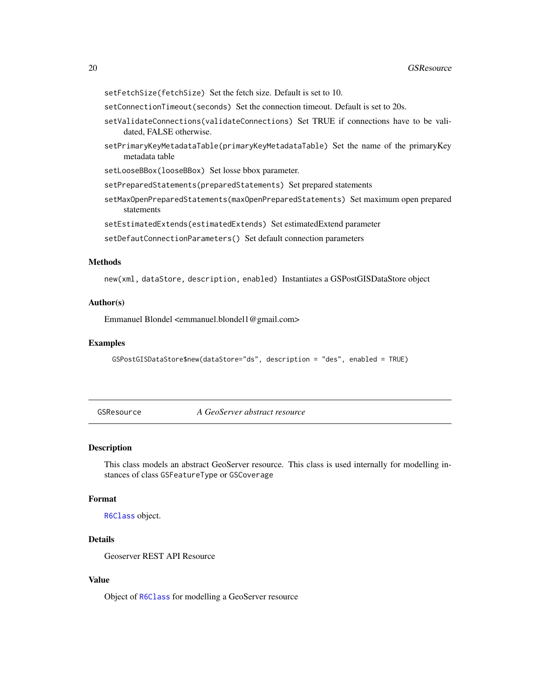- <span id="page-19-0"></span>setFetchSize(fetchSize) Set the fetch size. Default is set to 10.
- setConnectionTimeout(seconds) Set the connection timeout. Default is set to 20s.
- setValidateConnections(validateConnections) Set TRUE if connections have to be validated, FALSE otherwise.
- setPrimaryKeyMetadataTable(primaryKeyMetadataTable) Set the name of the primaryKey metadata table

setLooseBBox(looseBBox) Set losse bbox parameter.

setPreparedStatements(preparedStatements) Set prepared statements

setMaxOpenPreparedStatements(maxOpenPreparedStatements) Set maximum open prepared statements

setEstimatedExtends(estimatedExtends) Set estimatedExtend parameter

setDefautConnectionParameters() Set default connection parameters

#### Methods

new(xml, dataStore, description, enabled) Instantiates a GSPostGISDataStore object

#### Author(s)

Emmanuel Blondel <emmanuel.blondel1@gmail.com>

#### Examples

```
GSPostGISDataStore$new(dataStore="ds", description = "des", enabled = TRUE)
```
GSResource *A GeoServer abstract resource*

#### Description

This class models an abstract GeoServer resource. This class is used internally for modelling instances of class GSFeatureType or GSCoverage

# Format

[R6Class](#page-0-0) object.

#### Details

Geoserver REST API Resource

#### Value

Object of [R6Class](#page-0-0) for modelling a GeoServer resource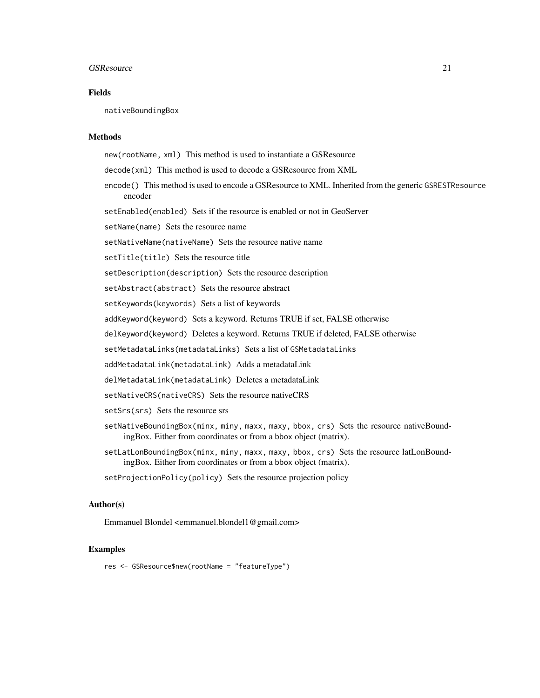#### GSResource 21

# Fields

nativeBoundingBox

#### Methods

new(rootName, xml) This method is used to instantiate a GSResource

- decode(xml) This method is used to decode a GSResource from XML
- encode() This method is used to encode a GSResource to XML. Inherited from the generic GSRESTResource encoder

setEnabled(enabled) Sets if the resource is enabled or not in GeoServer

setName(name) Sets the resource name

setNativeName(nativeName) Sets the resource native name

setTitle(title) Sets the resource title

setDescription(description) Sets the resource description

setAbstract(abstract) Sets the resource abstract

setKeywords(keywords) Sets a list of keywords

addKeyword(keyword) Sets a keyword. Returns TRUE if set, FALSE otherwise

delKeyword(keyword) Deletes a keyword. Returns TRUE if deleted, FALSE otherwise

setMetadataLinks(metadataLinks) Sets a list of GSMetadataLinks

addMetadataLink(metadataLink) Adds a metadataLink

delMetadataLink(metadataLink) Deletes a metadataLink

setNativeCRS(nativeCRS) Sets the resource nativeCRS

setSrs(srs) Sets the resource srs

- setNativeBoundingBox(minx, miny, maxx, maxy, bbox, crs) Sets the resource nativeBoundingBox. Either from coordinates or from a bbox object (matrix).
- setLatLonBoundingBox(minx, miny, maxx, maxy, bbox, crs) Sets the resource latLonBoundingBox. Either from coordinates or from a bbox object (matrix).

setProjectionPolicy(policy) Sets the resource projection policy

#### Author(s)

Emmanuel Blondel <emmanuel.blondel1@gmail.com>

#### Examples

res <- GSResource\$new(rootName = "featureType")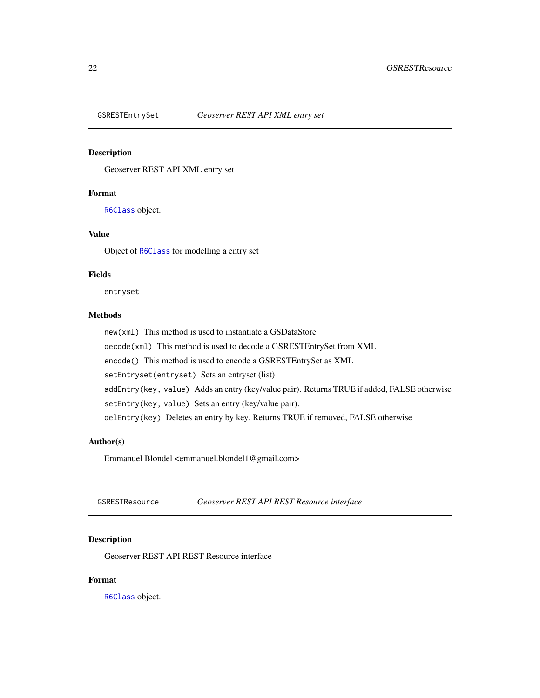<span id="page-21-0"></span>

Geoserver REST API XML entry set

# Format

[R6Class](#page-0-0) object.

# Value

Object of [R6Class](#page-0-0) for modelling a entry set

#### Fields

entryset

# Methods

new(xml) This method is used to instantiate a GSDataStore decode(xml) This method is used to decode a GSRESTEntrySet from XML encode() This method is used to encode a GSRESTEntrySet as XML setEntryset(entryset) Sets an entryset (list) addEntry(key, value) Adds an entry (key/value pair). Returns TRUE if added, FALSE otherwise setEntry(key, value) Sets an entry (key/value pair). delEntry(key) Deletes an entry by key. Returns TRUE if removed, FALSE otherwise

# Author(s)

Emmanuel Blondel <emmanuel.blondel1@gmail.com>

GSRESTResource *Geoserver REST API REST Resource interface*

# Description

Geoserver REST API REST Resource interface

# Format

[R6Class](#page-0-0) object.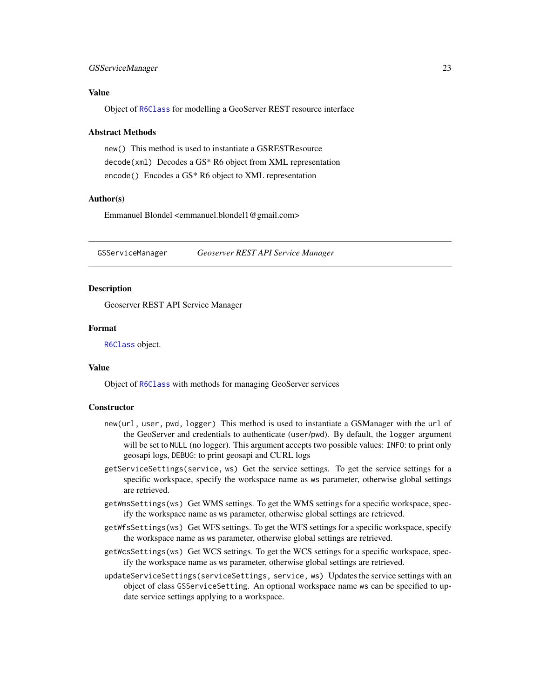#### <span id="page-22-0"></span>GSServiceManager 23

# Value

Object of [R6Class](#page-0-0) for modelling a GeoServer REST resource interface

#### Abstract Methods

new() This method is used to instantiate a GSRESTResource decode(xml) Decodes a GS\* R6 object from XML representation encode() Encodes a GS\* R6 object to XML representation

# Author(s)

Emmanuel Blondel <emmanuel.blondel1@gmail.com>

GSServiceManager *Geoserver REST API Service Manager*

# **Description**

Geoserver REST API Service Manager

#### Format

[R6Class](#page-0-0) object.

#### Value

Object of [R6Class](#page-0-0) with methods for managing GeoServer services

#### **Constructor**

- new(url, user, pwd, logger) This method is used to instantiate a GSManager with the url of the GeoServer and credentials to authenticate (user/pwd). By default, the logger argument will be set to NULL (no logger). This argument accepts two possible values: INFO: to print only geosapi logs, DEBUG: to print geosapi and CURL logs
- getServiceSettings(service, ws) Get the service settings. To get the service settings for a specific workspace, specify the workspace name as ws parameter, otherwise global settings are retrieved.
- getWmsSettings(ws) Get WMS settings. To get the WMS settings for a specific workspace, specify the workspace name as ws parameter, otherwise global settings are retrieved.
- getWfsSettings(ws) Get WFS settings. To get the WFS settings for a specific workspace, specify the workspace name as ws parameter, otherwise global settings are retrieved.
- getWcsSettings(ws) Get WCS settings. To get the WCS settings for a specific workspace, specify the workspace name as ws parameter, otherwise global settings are retrieved.
- updateServiceSettings(serviceSettings, service, ws) Updates the service settings with an object of class GSServiceSetting. An optional workspace name ws can be specified to update service settings applying to a workspace.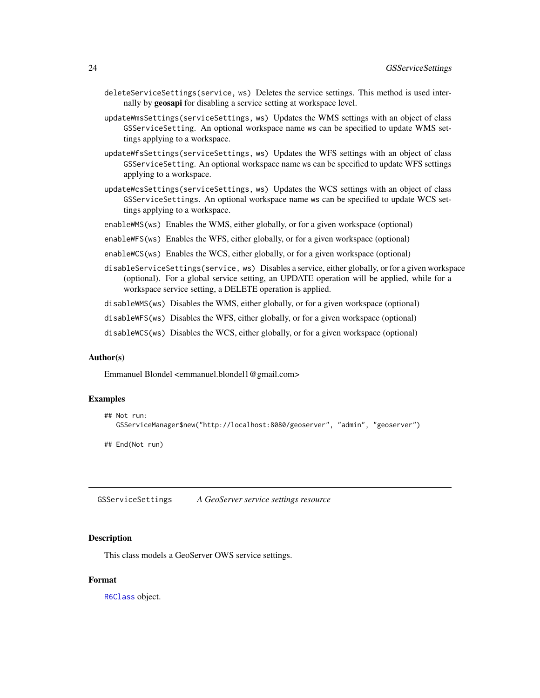- <span id="page-23-0"></span>deleteServiceSettings(service, ws) Deletes the service settings. This method is used internally by geosapi for disabling a service setting at workspace level.
- updateWmsSettings(serviceSettings, ws) Updates the WMS settings with an object of class GSServiceSetting. An optional workspace name ws can be specified to update WMS settings applying to a workspace.
- updateWfsSettings(serviceSettings, ws) Updates the WFS settings with an object of class GSServiceSetting. An optional workspace name ws can be specified to update WFS settings applying to a workspace.
- updateWcsSettings(serviceSettings, ws) Updates the WCS settings with an object of class GSServiceSettings. An optional workspace name ws can be specified to update WCS settings applying to a workspace.
- enableWMS(ws) Enables the WMS, either globally, or for a given workspace (optional)
- enableWFS(ws) Enables the WFS, either globally, or for a given workspace (optional)
- enableWCS(ws) Enables the WCS, either globally, or for a given workspace (optional)
- disableServiceSettings(service, ws) Disables a service, either globally, or for a given workspace (optional). For a global service setting, an UPDATE operation will be applied, while for a workspace service setting, a DELETE operation is applied.
- disableWMS(ws) Disables the WMS, either globally, or for a given workspace (optional)
- disableWFS(ws) Disables the WFS, either globally, or for a given workspace (optional)

disableWCS(ws) Disables the WCS, either globally, or for a given workspace (optional)

#### Author(s)

Emmanuel Blondel <emmanuel.blondel1@gmail.com>

#### Examples

```
## Not run:
  GSServiceManager$new("http://localhost:8080/geoserver", "admin", "geoserver")
```
## End(Not run)

GSServiceSettings *A GeoServer service settings resource*

#### Description

This class models a GeoServer OWS service settings.

# Format

[R6Class](#page-0-0) object.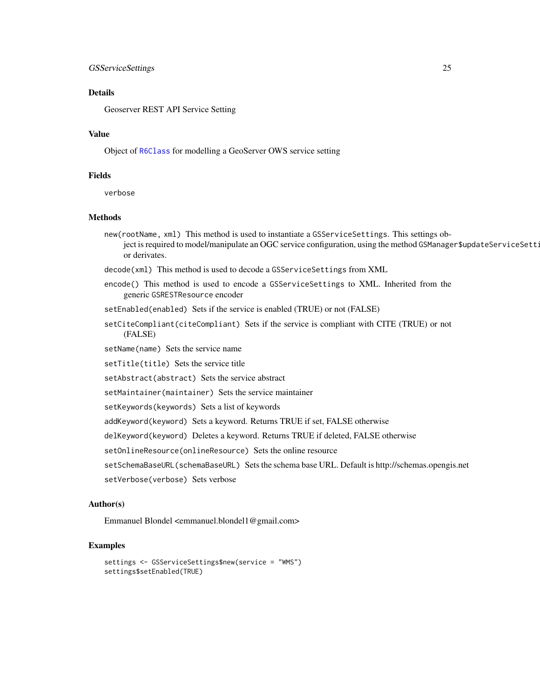#### GSServiceSettings 25

#### Details

Geoserver REST API Service Setting

# Value

Object of [R6Class](#page-0-0) for modelling a GeoServer OWS service setting

# Fields

verbose

# Methods

new(rootName, xml) This method is used to instantiate a GSServiceSettings. This settings object is required to model/manipulate an OGC service configuration, using the method GSManager\$updateServiceSett: or derivates.

decode(xml) This method is used to decode a GSServiceSettings from XML

encode() This method is used to encode a GSServiceSettings to XML. Inherited from the generic GSRESTResource encoder

setEnabled(enabled) Sets if the service is enabled (TRUE) or not (FALSE)

setCiteCompliant(citeCompliant) Sets if the service is compliant with CITE (TRUE) or not (FALSE)

setName(name) Sets the service name

setTitle(title) Sets the service title

setAbstract(abstract) Sets the service abstract

setMaintainer(maintainer) Sets the service maintainer

setKeywords(keywords) Sets a list of keywords

addKeyword(keyword) Sets a keyword. Returns TRUE if set, FALSE otherwise

delKeyword(keyword) Deletes a keyword. Returns TRUE if deleted, FALSE otherwise

setOnlineResource(onlineResource) Sets the online resource

setSchemaBaseURL(schemaBaseURL) Sets the schema base URL. Default is http://schemas.opengis.net

setVerbose(verbose) Sets verbose

#### Author(s)

Emmanuel Blondel <emmanuel.blondel1@gmail.com>

```
settings <- GSServiceSettings$new(service = "WMS")
settings$setEnabled(TRUE)
```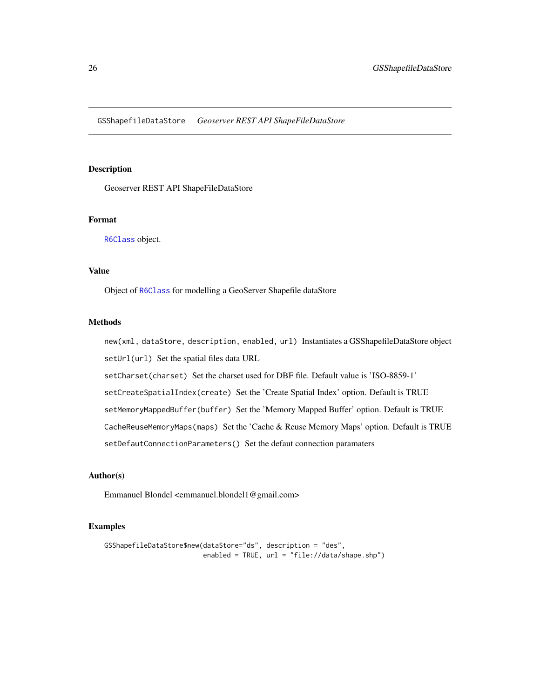<span id="page-25-0"></span>GSShapefileDataStore *Geoserver REST API ShapeFileDataStore*

# Description

Geoserver REST API ShapeFileDataStore

#### Format

[R6Class](#page-0-0) object.

# Value

Object of [R6Class](#page-0-0) for modelling a GeoServer Shapefile dataStore

# Methods

new(xml, dataStore, description, enabled, url) Instantiates a GSShapefileDataStore object setUrl(url) Set the spatial files data URL

setCharset(charset) Set the charset used for DBF file. Default value is 'ISO-8859-1'

setCreateSpatialIndex(create) Set the 'Create Spatial Index' option. Default is TRUE

setMemoryMappedBuffer(buffer) Set the 'Memory Mapped Buffer' option. Default is TRUE

CacheReuseMemoryMaps(maps) Set the 'Cache & Reuse Memory Maps' option. Default is TRUE

setDefautConnectionParameters() Set the defaut connection paramaters

# Author(s)

Emmanuel Blondel <emmanuel.blondel1@gmail.com>

```
GSShapefileDataStore$new(dataStore="ds", description = "des",
                        enabled = TRUE, url = "file://data/shape.shp")
```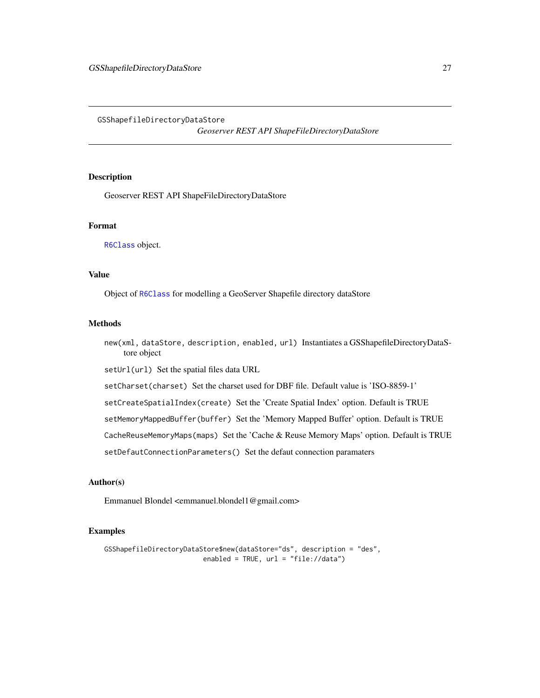<span id="page-26-0"></span>GSShapefileDirectoryDataStore

*Geoserver REST API ShapeFileDirectoryDataStore*

# Description

Geoserver REST API ShapeFileDirectoryDataStore

#### Format

[R6Class](#page-0-0) object.

#### Value

Object of [R6Class](#page-0-0) for modelling a GeoServer Shapefile directory dataStore

#### Methods

new(xml, dataStore, description, enabled, url) Instantiates a GSShapefileDirectoryDataStore object

setUrl(url) Set the spatial files data URL

setCharset(charset) Set the charset used for DBF file. Default value is 'ISO-8859-1'

setCreateSpatialIndex(create) Set the 'Create Spatial Index' option. Default is TRUE

setMemoryMappedBuffer(buffer) Set the 'Memory Mapped Buffer' option. Default is TRUE

CacheReuseMemoryMaps(maps) Set the 'Cache & Reuse Memory Maps' option. Default is TRUE

setDefautConnectionParameters() Set the defaut connection paramaters

#### Author(s)

Emmanuel Blondel <emmanuel.blondel1@gmail.com>

```
GSShapefileDirectoryDataStore$new(dataStore="ds", description = "des",
                        enabled = TRUE, url = "file://data")
```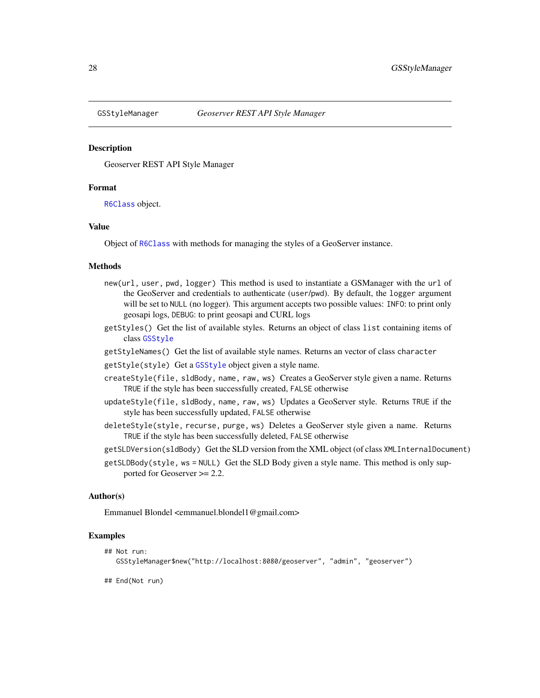<span id="page-27-0"></span>

Geoserver REST API Style Manager

#### Format

[R6Class](#page-0-0) object.

# Value

Object of [R6Class](#page-0-0) with methods for managing the styles of a GeoServer instance.

### **Methods**

- new(url, user, pwd, logger) This method is used to instantiate a GSManager with the url of the GeoServer and credentials to authenticate (user/pwd). By default, the logger argument will be set to NULL (no logger). This argument accepts two possible values: INFO: to print only geosapi logs, DEBUG: to print geosapi and CURL logs
- getStyles() Get the list of available styles. Returns an object of class list containing items of class [GSStyle](#page-10-2)
- getStyleNames() Get the list of available style names. Returns an vector of class character
- getStyle(style) Get a [GSStyle](#page-10-2) object given a style name.
- createStyle(file, sldBody, name, raw, ws) Creates a GeoServer style given a name. Returns TRUE if the style has been successfully created, FALSE otherwise
- updateStyle(file, sldBody, name, raw, ws) Updates a GeoServer style. Returns TRUE if the style has been successfully updated, FALSE otherwise
- deleteStyle(style, recurse, purge, ws) Deletes a GeoServer style given a name. Returns TRUE if the style has been successfully deleted, FALSE otherwise
- getSLDVersion(sldBody) Get the SLD version from the XML object (of class XMLInternalDocument)
- getSLDBody(style, ws = NULL) Get the SLD Body given a style name. This method is only supported for Geoserver >= 2.2.

#### Author(s)

Emmanuel Blondel <emmanuel.blondel1@gmail.com>

#### Examples

```
## Not run:
  GSStyleManager$new("http://localhost:8080/geoserver", "admin", "geoserver")
```
## End(Not run)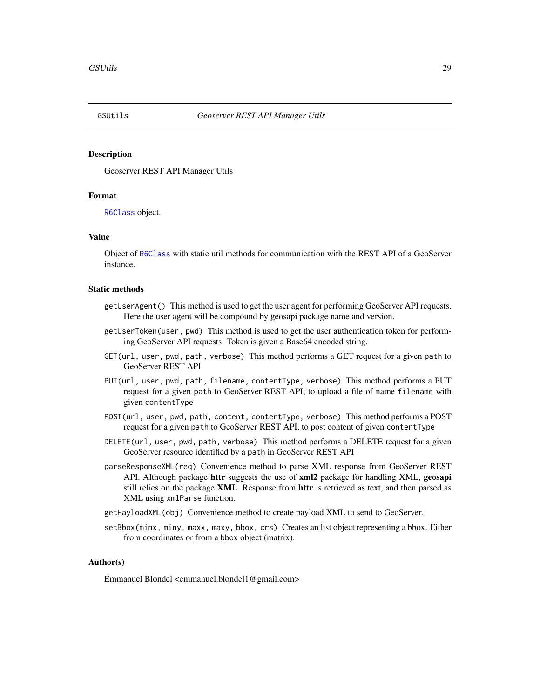<span id="page-28-0"></span>

Geoserver REST API Manager Utils

#### Format

[R6Class](#page-0-0) object.

#### Value

Object of [R6Class](#page-0-0) with static util methods for communication with the REST API of a GeoServer instance.

#### Static methods

- getUserAgent() This method is used to get the user agent for performing GeoServer API requests. Here the user agent will be compound by geosapi package name and version.
- getUserToken(user, pwd) This method is used to get the user authentication token for performing GeoServer API requests. Token is given a Base64 encoded string.
- GET(url, user, pwd, path, verbose) This method performs a GET request for a given path to GeoServer REST API
- PUT(url, user, pwd, path, filename, contentType, verbose) This method performs a PUT request for a given path to GeoServer REST API, to upload a file of name filename with given contentType
- POST(url, user, pwd, path, content, contentType, verbose) This method performs a POST request for a given path to GeoServer REST API, to post content of given contentType
- DELETE(url, user, pwd, path, verbose) This method performs a DELETE request for a given GeoServer resource identified by a path in GeoServer REST API
- parseResponseXML(req) Convenience method to parse XML response from GeoServer REST API. Although package httr suggests the use of  $xml2$  package for handling XML, geosapi still relies on the package **XML**. Response from **httr** is retrieved as text, and then parsed as XML using xmlParse function.
- getPayloadXML(obj) Convenience method to create payload XML to send to GeoServer.
- setBbox(minx, miny, maxx, maxy, bbox, crs) Creates an list object representing a bbox. Either from coordinates or from a bbox object (matrix).

#### Author(s)

Emmanuel Blondel <emmanuel.blondel1@gmail.com>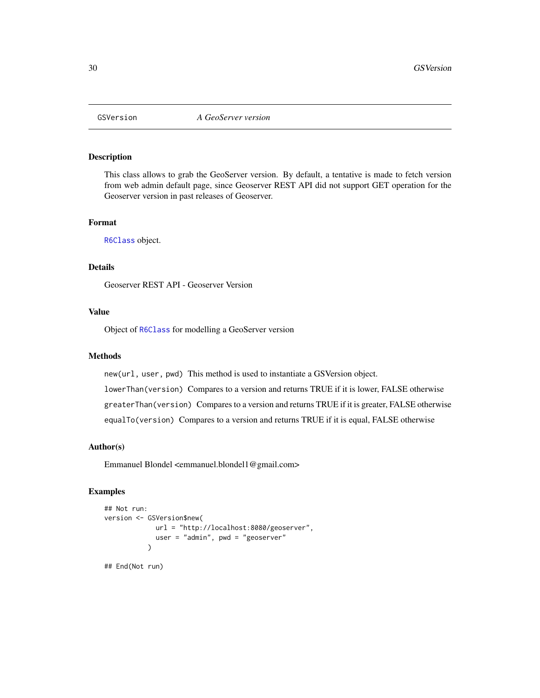<span id="page-29-0"></span>

This class allows to grab the GeoServer version. By default, a tentative is made to fetch version from web admin default page, since Geoserver REST API did not support GET operation for the Geoserver version in past releases of Geoserver.

#### Format

[R6Class](#page-0-0) object.

# Details

Geoserver REST API - Geoserver Version

#### Value

Object of [R6Class](#page-0-0) for modelling a GeoServer version

#### **Methods**

new(url, user, pwd) This method is used to instantiate a GSVersion object. lowerThan(version) Compares to a version and returns TRUE if it is lower, FALSE otherwise greaterThan(version) Compares to a version and returns TRUE if it is greater, FALSE otherwise equalTo(version) Compares to a version and returns TRUE if it is equal, FALSE otherwise

# Author(s)

Emmanuel Blondel <emmanuel.blondel1@gmail.com>

# Examples

```
## Not run:
version <- GSVersion$new(
            url = "http://localhost:8080/geoserver",
             user = "admin", pwd = "geoserver"
           )
```
## End(Not run)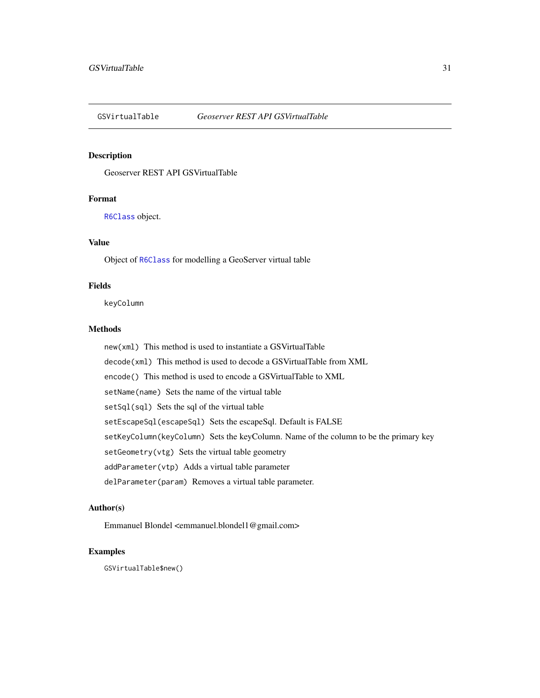<span id="page-30-0"></span>

Geoserver REST API GSVirtualTable

# Format

[R6Class](#page-0-0) object.

# Value

Object of [R6Class](#page-0-0) for modelling a GeoServer virtual table

# Fields

keyColumn

# Methods

new(xml) This method is used to instantiate a GSVirtualTable decode(xml) This method is used to decode a GSVirtualTable from XML encode() This method is used to encode a GSVirtualTable to XML setName(name) Sets the name of the virtual table setSql(sql) Sets the sql of the virtual table setEscapeSql(escapeSql) Sets the escapeSql. Default is FALSE setKeyColumn(keyColumn) Sets the keyColumn. Name of the column to be the primary key setGeometry(vtg) Sets the virtual table geometry addParameter(vtp) Adds a virtual table parameter delParameter(param) Removes a virtual table parameter.

# Author(s)

Emmanuel Blondel <emmanuel.blondel1@gmail.com>

# Examples

GSVirtualTable\$new()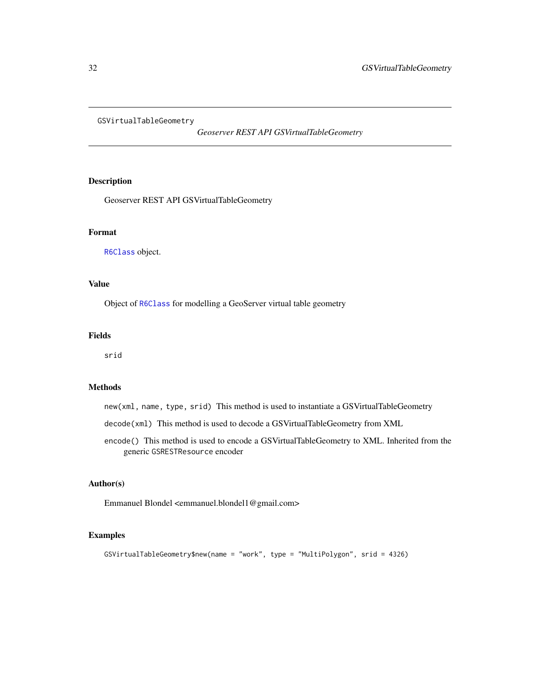<span id="page-31-0"></span>GSVirtualTableGeometry

*Geoserver REST API GSVirtualTableGeometry*

# Description

Geoserver REST API GSVirtualTableGeometry

# Format

[R6Class](#page-0-0) object.

# Value

Object of [R6Class](#page-0-0) for modelling a GeoServer virtual table geometry

# Fields

srid

# Methods

new(xml, name, type, srid) This method is used to instantiate a GSVirtualTableGeometry

decode(xml) This method is used to decode a GSVirtualTableGeometry from XML

encode() This method is used to encode a GSVirtualTableGeometry to XML. Inherited from the generic GSRESTResource encoder

#### Author(s)

Emmanuel Blondel <emmanuel.blondel1@gmail.com>

```
GSVirtualTableGeometry$new(name = "work", type = "MultiPolygon", srid = 4326)
```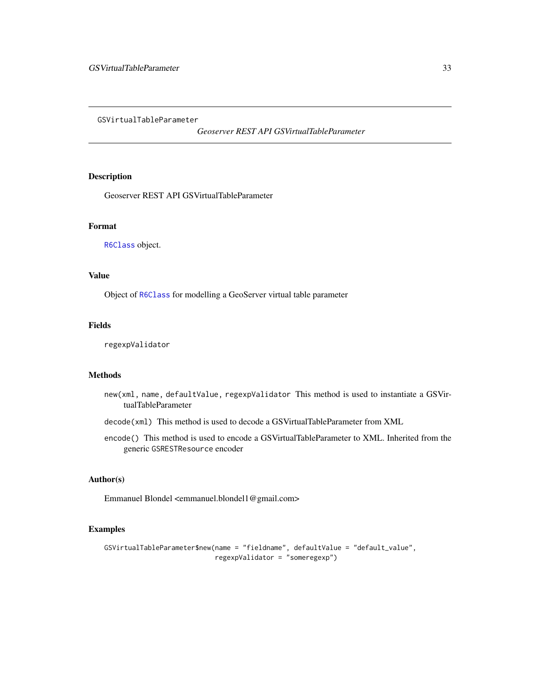<span id="page-32-0"></span>GSVirtualTableParameter

*Geoserver REST API GSVirtualTableParameter*

# Description

Geoserver REST API GSVirtualTableParameter

# Format

[R6Class](#page-0-0) object.

# Value

Object of [R6Class](#page-0-0) for modelling a GeoServer virtual table parameter

# Fields

regexpValidator

# Methods

- new(xml, name, defaultValue, regexpValidator This method is used to instantiate a GSVirtualTableParameter
- decode(xml) This method is used to decode a GSVirtualTableParameter from XML
- encode() This method is used to encode a GSVirtualTableParameter to XML. Inherited from the generic GSRESTResource encoder

# Author(s)

Emmanuel Blondel <emmanuel.blondel1@gmail.com>

```
GSVirtualTableParameter$new(name = "fieldname", defaultValue = "default_value",
                           regexpValidator = "someregexp")
```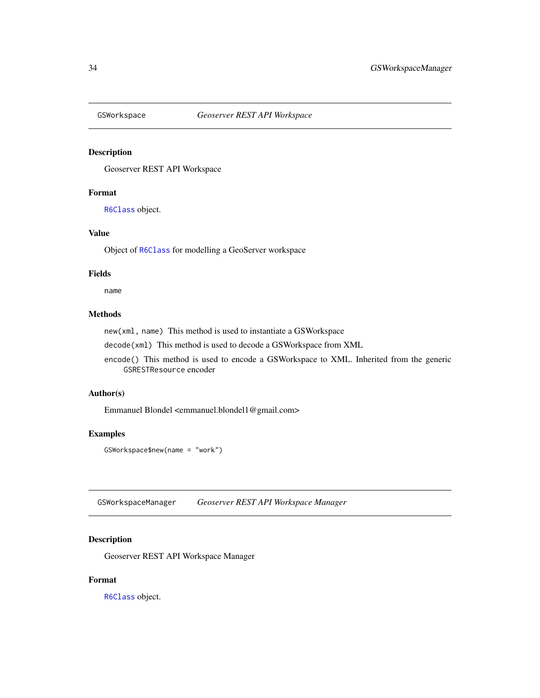<span id="page-33-1"></span><span id="page-33-0"></span>

Geoserver REST API Workspace

#### Format

[R6Class](#page-0-0) object.

# Value

Object of [R6Class](#page-0-0) for modelling a GeoServer workspace

# Fields

name

# Methods

new(xml, name) This method is used to instantiate a GSWorkspace

decode(xml) This method is used to decode a GSWorkspace from XML

encode() This method is used to encode a GSWorkspace to XML. Inherited from the generic GSRESTResource encoder

# Author(s)

Emmanuel Blondel <emmanuel.blondel1@gmail.com>

# Examples

GSWorkspace\$new(name = "work")

GSWorkspaceManager *Geoserver REST API Workspace Manager*

# Description

Geoserver REST API Workspace Manager

# Format

[R6Class](#page-0-0) object.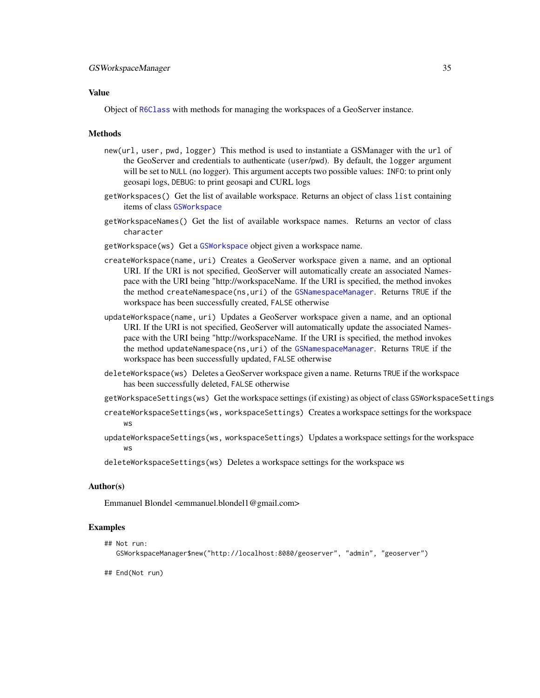# <span id="page-34-0"></span>Value

Object of [R6Class](#page-0-0) with methods for managing the workspaces of a GeoServer instance.

## **Methods**

- new(url, user, pwd, logger) This method is used to instantiate a GSManager with the url of the GeoServer and credentials to authenticate (user/pwd). By default, the logger argument will be set to NULL (no logger). This argument accepts two possible values: INFO: to print only geosapi logs, DEBUG: to print geosapi and CURL logs
- getWorkspaces() Get the list of available workspace. Returns an object of class list containing items of class [GSWorkspace](#page-33-1)
- getWorkspaceNames() Get the list of available workspace names. Returns an vector of class character
- getWorkspace(ws) Get a [GSWorkspace](#page-33-1) object given a workspace name.
- createWorkspace(name, uri) Creates a GeoServer workspace given a name, and an optional URI. If the URI is not specified, GeoServer will automatically create an associated Namespace with the URI being "http://workspaceName. If the URI is specified, the method invokes the method createNamespace(ns,uri) of the [GSNamespaceManager](#page-16-1). Returns TRUE if the workspace has been successfully created, FALSE otherwise
- updateWorkspace(name, uri) Updates a GeoServer workspace given a name, and an optional URI. If the URI is not specified, GeoServer will automatically update the associated Namespace with the URI being "http://workspaceName. If the URI is specified, the method invokes the method updateNamespace(ns,uri) of the [GSNamespaceManager](#page-16-1). Returns TRUE if the workspace has been successfully updated, FALSE otherwise
- deleteWorkspace(ws) Deletes a GeoServer workspace given a name. Returns TRUE if the workspace has been successfully deleted, FALSE otherwise
- getWorkspaceSettings(ws) Get the workspace settings (if existing) as object of class GSWorkspaceSettings
- createWorkspaceSettings(ws, workspaceSettings) Creates a workspace settings for the workspace ws
- updateWorkspaceSettings(ws, workspaceSettings) Updates a workspace settings for the workspace ws
- deleteWorkspaceSettings(ws) Deletes a workspace settings for the workspace ws

# Author(s)

Emmanuel Blondel <emmanuel.blondel1@gmail.com>

#### Examples

## Not run: GSWorkspaceManager\$new("http://localhost:8080/geoserver", "admin", "geoserver")

## End(Not run)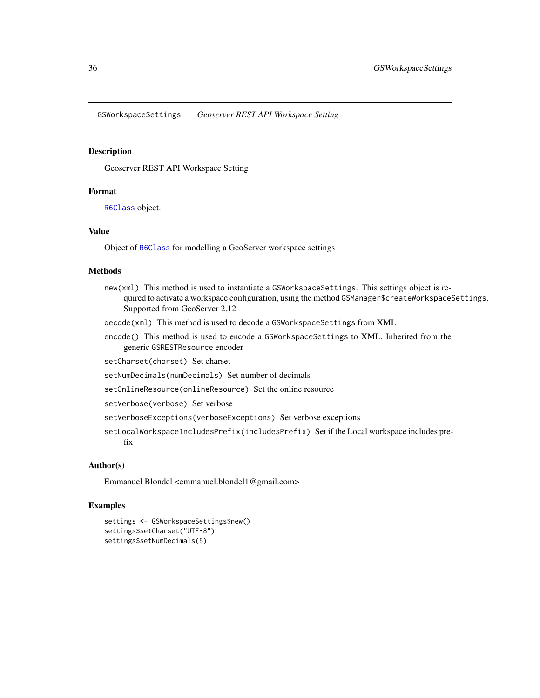<span id="page-35-0"></span>GSWorkspaceSettings *Geoserver REST API Workspace Setting*

# Description

Geoserver REST API Workspace Setting

# Format

[R6Class](#page-0-0) object.

# Value

Object of [R6Class](#page-0-0) for modelling a GeoServer workspace settings

# Methods

- new(xml) This method is used to instantiate a GSWorkspaceSettings. This settings object is required to activate a workspace configuration, using the method GSManager \$createWorkspaceSettings. Supported from GeoServer 2.12
- decode(xml) This method is used to decode a GSWorkspaceSettings from XML
- encode() This method is used to encode a GSWorkspaceSettings to XML. Inherited from the generic GSRESTResource encoder

setCharset(charset) Set charset

setNumDecimals(numDecimals) Set number of decimals

setOnlineResource(onlineResource) Set the online resource

setVerbose(verbose) Set verbose

- setVerboseExceptions(verboseExceptions) Set verbose exceptions
- setLocalWorkspaceIncludesPrefix(includesPrefix) Set if the Local workspace includes prefix

# Author(s)

Emmanuel Blondel <emmanuel.blondel1@gmail.com>

```
settings <- GSWorkspaceSettings$new()
settings$setCharset("UTF-8")
settings$setNumDecimals(5)
```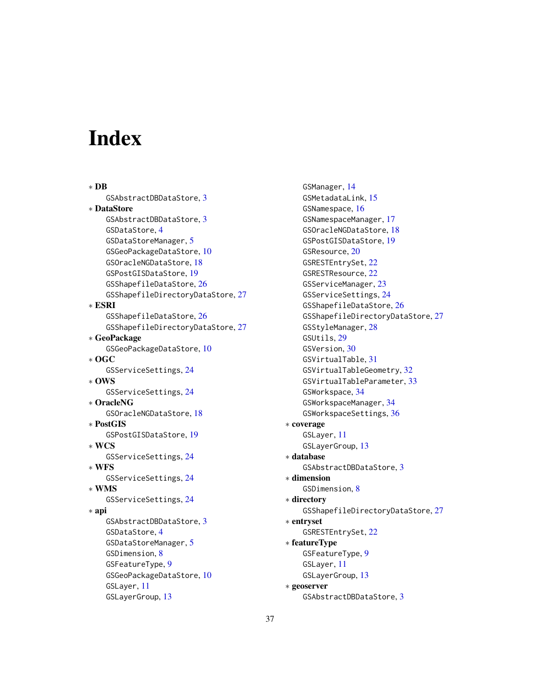# <span id="page-36-0"></span>Index

∗ DB GSAbstractDBDataStore, [3](#page-2-0) ∗ DataStore GSAbstractDBDataStore, [3](#page-2-0) GSDataStore, [4](#page-3-0) GSDataStoreManager, [5](#page-4-0) GSGeoPackageDataStore, [10](#page-9-0) GSOracleNGDataStore, [18](#page-17-0) GSPostGISDataStore, [19](#page-18-0) GSShapefileDataStore, [26](#page-25-0) GSShapefileDirectoryDataStore, [27](#page-26-0) ∗ ESRI GSShapefileDataStore, [26](#page-25-0) GSShapefileDirectoryDataStore, [27](#page-26-0) ∗ GeoPackage GSGeoPackageDataStore, [10](#page-9-0) ∗ OGC GSServiceSettings, [24](#page-23-0) ∗ OWS GSServiceSettings, [24](#page-23-0) ∗ OracleNG GSOracleNGDataStore, [18](#page-17-0) ∗ PostGIS GSPostGISDataStore, [19](#page-18-0) ∗ WCS GSServiceSettings, [24](#page-23-0) ∗ WFS GSServiceSettings, [24](#page-23-0) ∗ WMS GSServiceSettings, [24](#page-23-0) ∗ api GSAbstractDBDataStore, [3](#page-2-0) GSDataStore, [4](#page-3-0) GSDataStoreManager, [5](#page-4-0) GSDimension, [8](#page-7-0) GSFeatureType, [9](#page-8-0) GSGeoPackageDataStore, [10](#page-9-0) GSLayer, [11](#page-10-0) GSLayerGroup, [13](#page-12-0)

GSManager, [14](#page-13-0) GSMetadataLink, [15](#page-14-0) GSNamespace, [16](#page-15-0) GSNamespaceManager, [17](#page-16-0) GSOracleNGDataStore, [18](#page-17-0) GSPostGISDataStore, [19](#page-18-0) GSResource, [20](#page-19-0) GSRESTEntrySet, [22](#page-21-0) GSRESTResource, [22](#page-21-0) GSServiceManager, [23](#page-22-0) GSServiceSettings, [24](#page-23-0) GSShapefileDataStore, [26](#page-25-0) GSShapefileDirectoryDataStore, [27](#page-26-0) GSStyleManager, [28](#page-27-0) GSUtils, [29](#page-28-0) GSVersion, [30](#page-29-0) GSVirtualTable, [31](#page-30-0) GSVirtualTableGeometry, [32](#page-31-0) GSVirtualTableParameter, [33](#page-32-0) GSWorkspace, [34](#page-33-0) GSWorkspaceManager, [34](#page-33-0) GSWorkspaceSettings, [36](#page-35-0) ∗ coverage GSLayer, [11](#page-10-0) GSLayerGroup, [13](#page-12-0) ∗ database GSAbstractDBDataStore, [3](#page-2-0) ∗ dimension GSDimension, [8](#page-7-0) ∗ directory GSShapefileDirectoryDataStore, [27](#page-26-0) ∗ entryset GSRESTEntrySet, [22](#page-21-0) ∗ featureType GSFeatureType, [9](#page-8-0) GSLayer, [11](#page-10-0) GSLayerGroup, [13](#page-12-0) ∗ geoserver GSAbstractDBDataStore, [3](#page-2-0)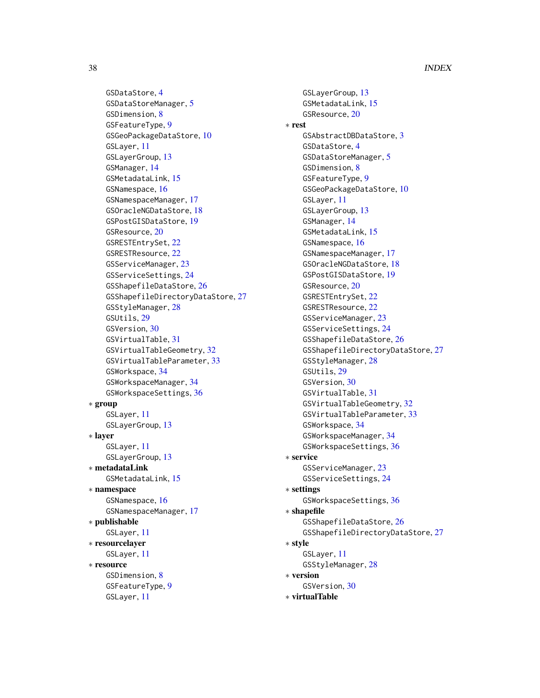GSDataStore, [4](#page-3-0) GSDataStoreManager, [5](#page-4-0) GSDimension, [8](#page-7-0) GSFeatureType, [9](#page-8-0) GSGeoPackageDataStore, [10](#page-9-0) GSLayer, [11](#page-10-0) GSLayerGroup, [13](#page-12-0) GSManager, [14](#page-13-0) GSMetadataLink, [15](#page-14-0) GSNamespace, [16](#page-15-0) GSNamespaceManager, [17](#page-16-0) GSOracleNGDataStore, [18](#page-17-0) GSPostGISDataStore, [19](#page-18-0) GSResource, [20](#page-19-0) GSRESTEntrySet, [22](#page-21-0) GSRESTResource, [22](#page-21-0) GSServiceManager, [23](#page-22-0) GSServiceSettings, [24](#page-23-0) GSShapefileDataStore, [26](#page-25-0) GSShapefileDirectoryDataStore, [27](#page-26-0) GSStyleManager, [28](#page-27-0) GSUtils, [29](#page-28-0) GSVersion, [30](#page-29-0) GSVirtualTable, [31](#page-30-0) GSVirtualTableGeometry, [32](#page-31-0) GSVirtualTableParameter, [33](#page-32-0) GSWorkspace, [34](#page-33-0) GSWorkspaceManager, [34](#page-33-0) GSWorkspaceSettings, [36](#page-35-0) ∗ group GSLayer, [11](#page-10-0) GSLayerGroup, [13](#page-12-0) ∗ layer GSLayer, [11](#page-10-0) GSLayerGroup, [13](#page-12-0) ∗ metadataLink GSMetadataLink, [15](#page-14-0) ∗ namespace GSNamespace, [16](#page-15-0) GSNamespaceManager, [17](#page-16-0) ∗ publishable GSLayer, [11](#page-10-0) ∗ resourcelayer GSLayer, [11](#page-10-0) ∗ resource GSDimension, [8](#page-7-0) GSFeatureType, [9](#page-8-0) GSLayer, [11](#page-10-0)

GSLayerGroup, [13](#page-12-0) GSMetadataLink, [15](#page-14-0) GSResource, [20](#page-19-0) ∗ rest GSAbstractDBDataStore, [3](#page-2-0) GSDataStore, [4](#page-3-0) GSDataStoreManager, [5](#page-4-0) GSDimension, [8](#page-7-0) GSFeatureType, [9](#page-8-0) GSGeoPackageDataStore, [10](#page-9-0) GSLayer, [11](#page-10-0) GSLayerGroup, [13](#page-12-0) GSManager, [14](#page-13-0) GSMetadataLink, [15](#page-14-0) GSNamespace, [16](#page-15-0) GSNamespaceManager, [17](#page-16-0) GSOracleNGDataStore, [18](#page-17-0) GSPostGISDataStore, [19](#page-18-0) GSResource, [20](#page-19-0) GSRESTEntrySet, [22](#page-21-0) GSRESTResource, [22](#page-21-0) GSServiceManager, [23](#page-22-0) GSServiceSettings, [24](#page-23-0) GSShapefileDataStore, [26](#page-25-0) GSShapefileDirectoryDataStore, [27](#page-26-0) GSStyleManager, [28](#page-27-0) GSUtils, [29](#page-28-0) GSVersion, [30](#page-29-0) GSVirtualTable, [31](#page-30-0) GSVirtualTableGeometry, [32](#page-31-0) GSVirtualTableParameter, [33](#page-32-0) GSWorkspace, [34](#page-33-0) GSWorkspaceManager, [34](#page-33-0) GSWorkspaceSettings, [36](#page-35-0) ∗ service GSServiceManager, [23](#page-22-0) GSServiceSettings, [24](#page-23-0) ∗ settings GSWorkspaceSettings, [36](#page-35-0) ∗ shapefile GSShapefileDataStore, [26](#page-25-0) GSShapefileDirectoryDataStore, [27](#page-26-0) ∗ style GSLayer, [11](#page-10-0) GSStyleManager, [28](#page-27-0) ∗ version GSVersion, [30](#page-29-0)

∗ virtualTable